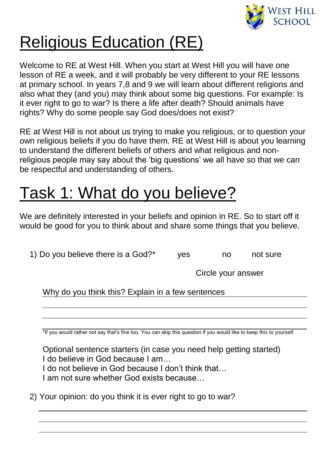

## Religious Education (RE)

Welcome to RE at West Hill. When you start at West Hill you will have one lesson of RE a week, and it will probably be very different to your RE lessons at primary school. In years 7,8 and 9 we will learn about different religions and also what they (and you) may think about some big questions. For example: Is it ever right to go to war? Is there a life after death? Should animals have rights? Why do some people say God does/does not exist?

RE at West Hill is not about us trying to make you religious, or to question your own religious beliefs if you do have them. RE at West Hill is about you learning to understand the different beliefs of others and what religious and nonreligious people may say about the 'big questions' we all have so that we can be respectful and understanding of others.

## Task 1: What do you believe?

We are definitely interested in your beliefs and opinion in RE. So to start off it would be good for you to think about and share some things that you believe.

1) Do you believe there is a God?\* yes no not sure

Circle your answer

Why do you think this? Explain in a few sentences

\*If you would rather not say that's fine too. You can skip this question if you would like to keep this to yourself.

Optional sentence starters (in case you need help getting started) I do believe in God because I am… I do not believe in God because I don't think that…

I am not sure whether God exists because…

2) Your opinion: do you think it is ever right to go to war?